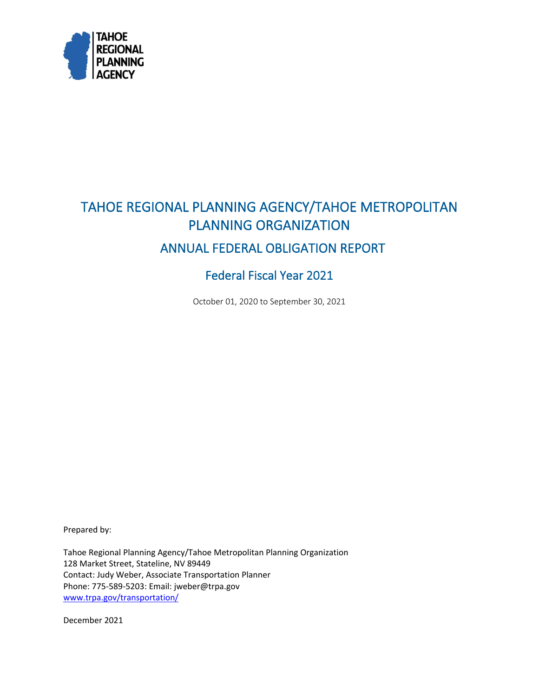<span id="page-0-0"></span>

# <span id="page-0-1"></span>TAHOE REGIONAL PLANNING AGENCY/TAHOE METROPOLITAN PLANNING ORGANIZATION ANNUAL FEDERAL OBLIGATION REPORT

## Federal Fiscal Year 2021

October 01, 2020 to September 30, 2021

Prepared by:

Tahoe Regional Planning Agency/Tahoe Metropolitan Planning Organization 128 Market Street, Stateline, NV 89449 Contact: Judy Weber, Associate Transportation Planner Phone: 775-589-5203: Email: jweber@trpa.gov [www.trpa.gov/transportation/](http://www.trpa.gov/transportation/)

December 2021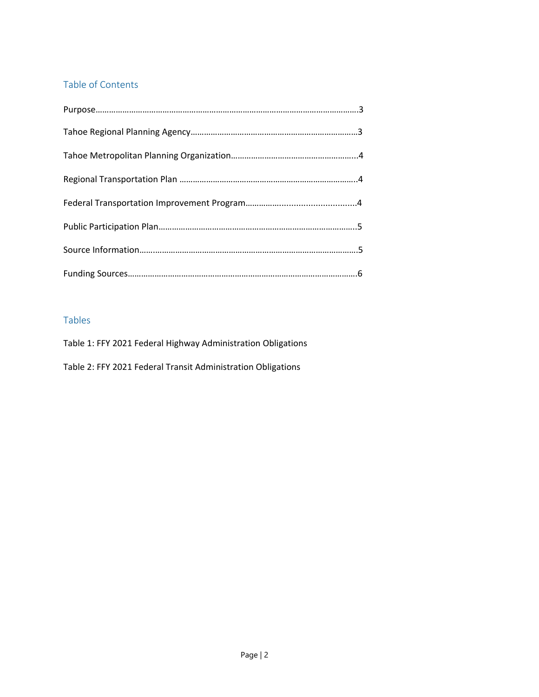### <span id="page-1-0"></span>Table of Contents

#### Tables

[Table 1: FFY 2021 Federal Highway Administration Obligations](#page-0-0)

[Table 2: FFY 2021 Federal Transit Administration Obligations](#page-0-1)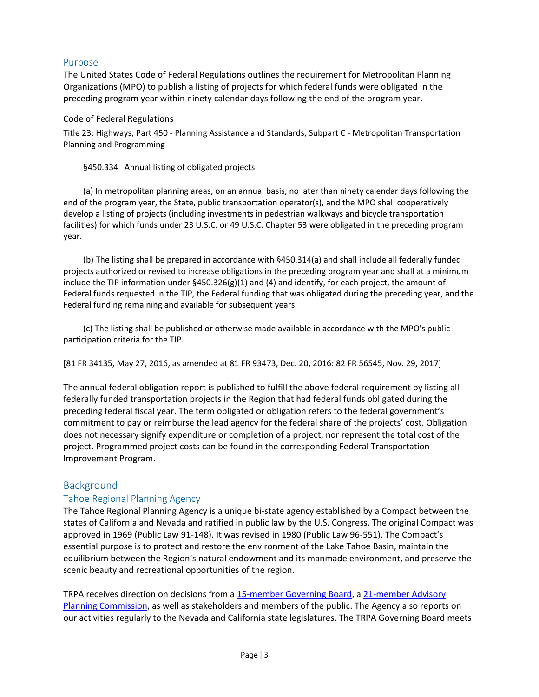#### <span id="page-2-0"></span>Purpose

The United States Code of Federal Regulations outlines the requirement for Metropolitan Planning Organizations (MPO) to publish a listing of projects for which federal funds were obligated in the preceding program year within ninety calendar days following the end of the program year.

#### Code of Federal Regulations

Title 23: Highways, Part 450 - Planning Assistance and Standards, Subpart C - Metropolitan Transportation Planning and Programming

§450.334 Annual listing of obligated projects.

(a) In metropolitan planning areas, on an annual basis, no later than ninety calendar days following the end of the program year, the State, public transportation operator(s), and the MPO shall cooperatively develop a listing of projects (including investments in pedestrian walkways and bicycle transportation facilities) for which funds under 23 U.S.C. or 49 U.S.C. Chapter 53 were obligated in the preceding program year.

(b) The listing shall be prepared in accordance with §450.314(a) and shall include all federally funded projects authorized or revised to increase obligations in the preceding program year and shall at a minimum include the TIP information under  $\frac{5450.326(g)(1)}{2}$  and  $\frac{4}{2}$  and identify, for each project, the amount of Federal funds requested in the TIP, the Federal funding that was obligated during the preceding year, and the Federal funding remaining and available for subsequent years.

(c) The listing shall be published or otherwise made available in accordance with the MPO's public participation criteria for the TIP.

[81 FR 34135, May 27, 2016, as amended at 81 FR 93473, Dec. 20, 2016: 82 FR 56545, Nov. 29, 2017]

The annual federal obligation report is published to fulfill the above federal requirement by listing all federally funded transportation projects in the Region that had federal funds obligated during the preceding federal fiscal year. The term obligated or obligation refers to the federal government's commitment to pay or reimburse the lead agency for the federal share of the projects' cost. Obligation does not necessary signify expenditure or completion of a project, nor represent the total cost of the project. Programmed project costs can be found in the corresponding Federal Transportation Improvement Program.

#### Background

#### Tahoe Regional Planning Agency

The Tahoe Regional Planning Agency is a unique bi-state agency established by a Compact between the states of California and Nevada and ratified in public law by the U.S. Congress. The original Compact was approved in 1969 (Public Law 91-148). It was revised in 1980 (Public Law 96-551). The Compact's essential purpose is to protect and restore the environment of the Lake Tahoe Basin, maintain the equilibrium between the Region's natural endowment and its manmade environment, and preserve the scenic beauty and recreational opportunities of the region.

TRPA receives direction on decisions from a [15-member Governing Board,](https://www.trpa.gov/how-we-operate/board-members/) a 21-member Advisory [Planning Commission,](https://www.trpa.gov/how-we-operate/advisory-planning-commission/) as well as stakeholders and members of the public. The Agency also reports on our activities regularly to the Nevada and California state legislatures. The TRPA Governing Board meets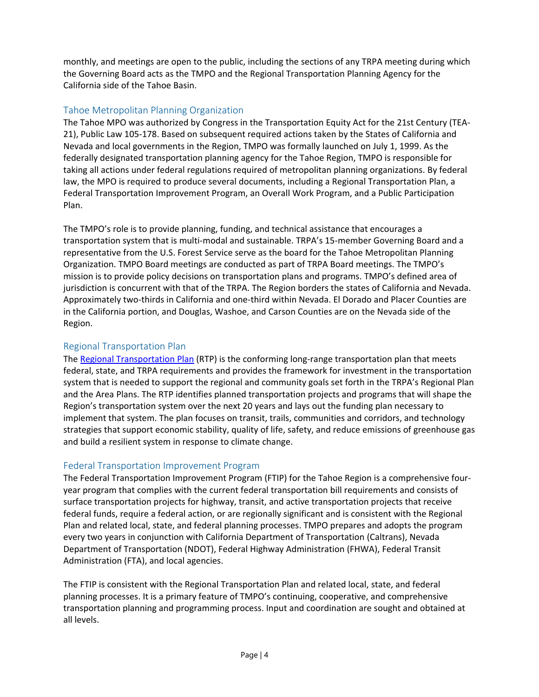<span id="page-3-0"></span>monthly, and meetings are open to the public, including the sections of any TRPA meeting during which the Governing Board acts as the TMPO and the Regional Transportation Planning Agency for the California side of the Tahoe Basin.

#### Tahoe Metropolitan Planning Organization

The Tahoe MPO was authorized by Congress in the Transportation Equity Act for the 21st Century (TEA-21), Public Law 105-178. Based on subsequent required actions taken by the States of California and Nevada and local governments in the Region, TMPO was formally launched on July 1, 1999. As the federally designated transportation planning agency for the Tahoe Region, TMPO is responsible for taking all actions under federal regulations required of metropolitan planning organizations. By federal law, the MPO is required to produce several documents, including a Regional Transportation Plan, a Federal Transportation Improvement Program, an Overall Work Program, and a Public Participation Plan.

The TMPO's role is to provide planning, funding, and technical assistance that encourages a transportation system that is multi-modal and sustainable. TRPA's 15-member Governing Board and a representative from the U.S. Forest Service serve as the board for the Tahoe Metropolitan Planning Organization. TMPO Board meetings are conducted as part of TRPA Board meetings. The TMPO's mission is to provide policy decisions on transportation plans and programs. TMPO's defined area of jurisdiction is concurrent with that of the TRPA. The Region borders the states of California and Nevada. Approximately two-thirds in California and one-third within Nevada. El Dorado and Placer Counties are in the California portion, and Douglas, Washoe, and Carson Counties are on the Nevada side of the Region.

#### Regional Transportation Plan

The [Regional Transportation Plan](https://www.trpa.gov/rtp/) (RTP) is the conforming long-range transportation plan that meets federal, state, and TRPA requirements and provides the framework for investment in the transportation system that is needed to support the regional and community goals set forth in the TRPA's Regional Plan and the Area Plans. The RTP identifies planned transportation projects and programs that will shape the Region's transportation system over the next 20 years and lays out the funding plan necessary to implement that system. The plan focuses on transit, trails, communities and corridors, and technology strategies that support economic stability, quality of life, safety, and reduce emissions of greenhouse gas and build a resilient system in response to climate change.

#### Federal Transportation Improvement Program

The Federal Transportation Improvement Program (FTIP) for the Tahoe Region is a comprehensive fouryear program that complies with the current federal transportation bill requirements and consists of surface transportation projects for highway, transit, and active transportation projects that receive federal funds, require a federal action, or are regionally significant and is consistent with the Regional Plan and related local, state, and federal planning processes. TMPO prepares and adopts the program every two years in conjunction with California Department of Transportation (Caltrans), Nevada Department of Transportation (NDOT), Federal Highway Administration (FHWA), Federal Transit Administration (FTA), and local agencies.

The FTIP is consistent with the Regional Transportation Plan and related local, state, and federal planning processes. It is a primary feature of TMPO's continuing, cooperative, and comprehensive transportation planning and programming process. Input and coordination are sought and obtained at all levels.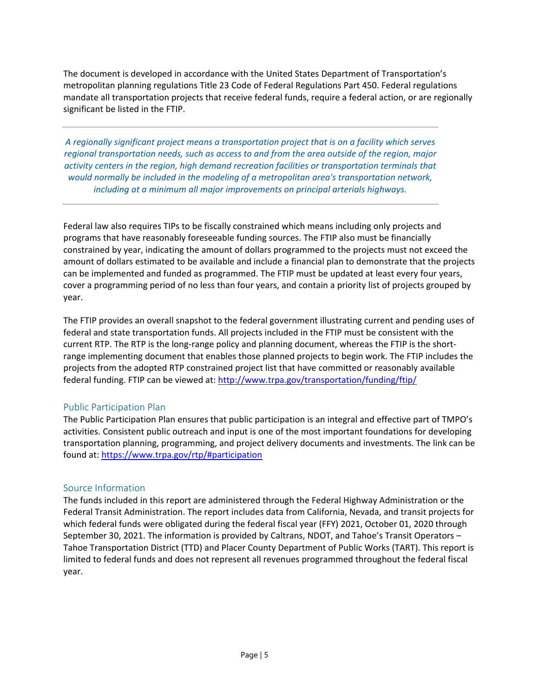<span id="page-4-0"></span>The document is developed in accordance with the United States Department of Transportation's metropolitan planning regulations Title 23 Code of Federal Regulations Part 450. Federal regulations mandate all transportation projects that receive federal funds, require a federal action, or are regionally significant be listed in the FTIP.

*A regionally significant project means a transportation project that is on a facility which serves regional transportation needs, such as access to and from the area outside of the region, major activity centers in the region, high demand recreation facilities or transportation terminals that would normally be included in the modeling of a metropolitan area's transportation network, including at a minimum all major improvements on principal arterials highways.*

Federal law also requires TIPs to be fiscally constrained which means including only projects and programs that have reasonably foreseeable funding sources. The FTIP also must be financially constrained by year, indicating the amount of dollars programmed to the projects must not exceed the amount of dollars estimated to be available and include a financial plan to demonstrate that the projects can be implemented and funded as programmed. The FTIP must be updated at least every four years, cover a programming period of no less than four years, and contain a priority list of projects grouped by year.

The FTIP provides an overall snapshot to the federal government illustrating current and pending uses of federal and state transportation funds. All projects included in the FTIP must be consistent with the current RTP. The RTP is the long-range policy and planning document, whereas the FTIP is the shortrange implementing document that enables those planned projects to begin work. The FTIP includes the projects from the adopted RTP constrained project list that have committed or reasonably available federal funding. FTIP can be viewed at: http://www.trpa.gov/transportation/funding/ftip/

#### Public Participation Plan

The Public Participation Plan ensures that public participation is an integral and effective part of TMPO's activities. Consistent public outreach and input is one of the most important foundations for developing transportation planning, programming, and project delivery documents and investments. The link can be found at: https://www.trpa.gov/rtp/#participation

#### Source I[nformation](https://www.trpa.gov/rtp/#participation)

The funds included in this report are administered through the Federal Highway Administration or the Federal Transit Administration. The report includes data from California, Nevada, and transit projects for which federal funds were obligated during the federal fiscal year (FFY) 2021, October 01, 2020 through September 30, 2021. The information is provided by Caltrans, NDOT, and Tahoe's Transit Operators – Tahoe Transportation District (TTD) and Placer County Department of Public Works (TART). This report is limited to federal funds and does not represent all revenues programmed throughout the federal fiscal year.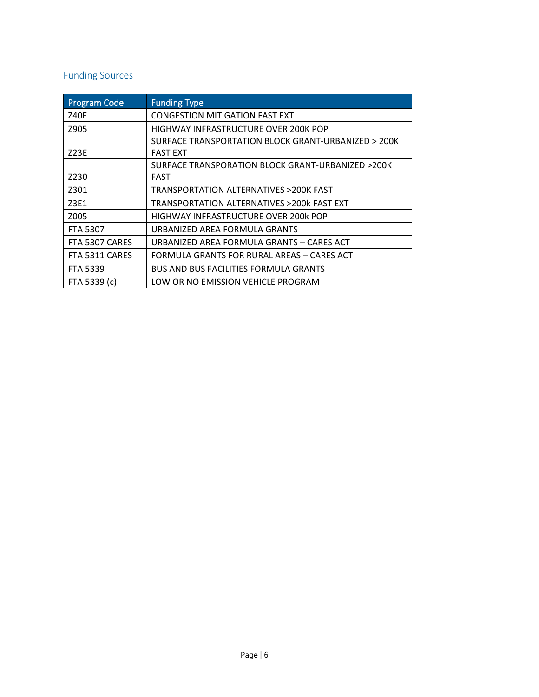## <span id="page-5-0"></span>Funding Sources

| <b>Program Code</b> | <b>Funding Type</b>                                 |
|---------------------|-----------------------------------------------------|
| <b>Z40E</b>         | <b>CONGESTION MITIGATION FAST EXT</b>               |
| Z905                | HIGHWAY INFRASTRUCTURE OVER 200K POP                |
|                     | SURFACE TRANSPORTATION BLOCK GRANT-URBANIZED > 200K |
| Z23E                | <b>FAST EXT</b>                                     |
|                     | SURFACE TRANSPORATION BLOCK GRANT-URBANIZED >200K   |
| Z230                | FAST                                                |
| Z301                | TRANSPORTATION ALTERNATIVES >200K FAST              |
| Z3E1                | TRANSPORTATION ALTERNATIVES >200k FAST EXT          |
| Z005                | HIGHWAY INFRASTRUCTURE OVER 200k POP                |
| <b>FTA 5307</b>     | URBANIZED AREA FORMULA GRANTS                       |
| FTA 5307 CARES      | URBANIZED AREA FORMULA GRANTS - CARES ACT           |
| FTA 5311 CARES      | FORMULA GRANTS FOR RURAL AREAS – CARES ACT          |
| <b>FTA 5339</b>     | <b>BUS AND BUS FACILITIES FORMULA GRANTS</b>        |
| FTA 5339 (c)        | LOW OR NO EMISSION VEHICLE PROGRAM                  |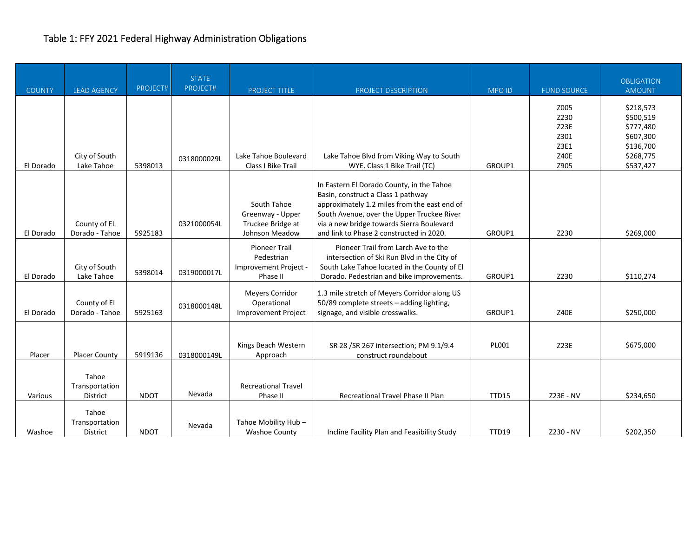## <span id="page-6-0"></span>Table 1: FFY 2021 Federal Highway Administration Obligations

| <b>COUNTY</b> | <b>LEAD AGENCY</b>                  | PROJECT#    | <b>STATE</b><br>PROJECT# | PROJECT TITLE                                                           | PROJECT DESCRIPTION                                                                                                                                                                                                                                                    | <b>MPOID</b> | <b>FUND SOURCE</b>                                          | <b>OBLIGATION</b><br><b>AMOUNT</b>                                                      |
|---------------|-------------------------------------|-------------|--------------------------|-------------------------------------------------------------------------|------------------------------------------------------------------------------------------------------------------------------------------------------------------------------------------------------------------------------------------------------------------------|--------------|-------------------------------------------------------------|-----------------------------------------------------------------------------------------|
| El Dorado     | City of South<br>Lake Tahoe         | 5398013     | 0318000029L              | Lake Tahoe Boulevard<br>Class I Bike Trail                              | Lake Tahoe Blvd from Viking Way to South<br>WYE. Class 1 Bike Trail (TC)                                                                                                                                                                                               | GROUP1       | Z005<br>Z230<br>Z23E<br>Z301<br>Z3E1<br><b>Z40E</b><br>Z905 | \$218,573<br>\$500,519<br>\$777,480<br>\$607,300<br>\$136,700<br>\$268,775<br>\$537,427 |
| El Dorado     | County of EL<br>Dorado - Tahoe      | 5925183     | 0321000054L              | South Tahoe<br>Greenway - Upper<br>Truckee Bridge at<br>Johnson Meadow  | In Eastern El Dorado County, in the Tahoe<br>Basin, construct a Class 1 pathway<br>approximately 1.2 miles from the east end of<br>South Avenue, over the Upper Truckee River<br>via a new bridge towards Sierra Boulevard<br>and link to Phase 2 constructed in 2020. | GROUP1       | Z230                                                        | \$269,000                                                                               |
| El Dorado     | City of South<br>Lake Tahoe         | 5398014     | 0319000017L              | <b>Pioneer Trail</b><br>Pedestrian<br>Improvement Project -<br>Phase II | Pioneer Trail from Larch Ave to the<br>intersection of Ski Run Blvd in the City of<br>South Lake Tahoe located in the County of El<br>Dorado. Pedestrian and bike improvements.                                                                                        | GROUP1       | Z230                                                        | \$110,274                                                                               |
| El Dorado     | County of El<br>Dorado - Tahoe      | 5925163     | 0318000148L              | <b>Meyers Corridor</b><br>Operational<br><b>Improvement Project</b>     | 1.3 mile stretch of Meyers Corridor along US<br>50/89 complete streets - adding lighting,<br>signage, and visible crosswalks.                                                                                                                                          | GROUP1       | Z40E                                                        | \$250,000                                                                               |
| Placer        | <b>Placer County</b>                | 5919136     | 0318000149L              | Kings Beach Western<br>Approach                                         | SR 28 / SR 267 intersection; PM 9.1/9.4<br>construct roundabout                                                                                                                                                                                                        | PL001        | Z23E                                                        | \$675,000                                                                               |
| Various       | Tahoe<br>Transportation<br>District | <b>NDOT</b> | Nevada                   | <b>Recreational Travel</b><br>Phase II                                  | Recreational Travel Phase II Plan                                                                                                                                                                                                                                      | <b>TTD15</b> | Z23E - NV                                                   | \$234,650                                                                               |
| Washoe        | Tahoe<br>Transportation<br>District | <b>NDOT</b> | Nevada                   | Tahoe Mobility Hub-<br><b>Washoe County</b>                             | Incline Facility Plan and Feasibility Study                                                                                                                                                                                                                            | TTD19        | Z230 - NV                                                   | \$202,350                                                                               |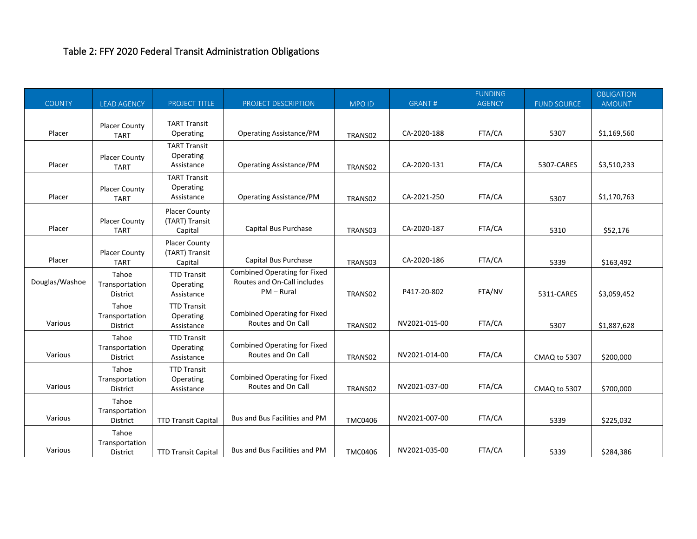## <span id="page-7-0"></span>Table 2: FFY 2020 Federal Transit Administration Obligations

|                |                                     |                                                   |                                                                                    |                |               | <b>FUNDING</b> |                    | <b>OBLIGATION</b> |
|----------------|-------------------------------------|---------------------------------------------------|------------------------------------------------------------------------------------|----------------|---------------|----------------|--------------------|-------------------|
| <b>COUNTY</b>  | <b>LEAD AGENCY</b>                  | <b>PROJECT TITLE</b>                              | PROJECT DESCRIPTION                                                                | <b>MPO ID</b>  | <b>GRANT#</b> | <b>AGENCY</b>  | <b>FUND SOURCE</b> | <b>AMOUNT</b>     |
| Placer         | <b>Placer County</b><br><b>TART</b> | <b>TART Transit</b><br>Operating                  | <b>Operating Assistance/PM</b>                                                     | TRANS02        | CA-2020-188   | FTA/CA         | 5307               | \$1,169,560       |
| Placer         | <b>Placer County</b><br><b>TART</b> | <b>TART Transit</b><br>Operating<br>Assistance    | <b>Operating Assistance/PM</b>                                                     | TRANS02        | CA-2020-131   | FTA/CA         | 5307-CARES         | \$3,510,233       |
| Placer         | <b>Placer County</b><br><b>TART</b> | <b>TART Transit</b><br>Operating<br>Assistance    | <b>Operating Assistance/PM</b>                                                     | TRANS02        | CA-2021-250   | FTA/CA         | 5307               | \$1,170,763       |
| Placer         | <b>Placer County</b><br><b>TART</b> | <b>Placer County</b><br>(TART) Transit<br>Capital | Capital Bus Purchase                                                               | TRANS03        | CA-2020-187   | FTA/CA         | 5310               | \$52,176          |
| Placer         | <b>Placer County</b><br><b>TART</b> | <b>Placer County</b><br>(TART) Transit<br>Capital | Capital Bus Purchase                                                               | TRANS03        | CA-2020-186   | FTA/CA         | 5339               | \$163,492         |
| Douglas/Washoe | Tahoe<br>Transportation<br>District | <b>TTD Transit</b><br>Operating<br>Assistance     | <b>Combined Operating for Fixed</b><br>Routes and On-Call includes<br>$PM - Rural$ | TRANS02        | P417-20-802   | FTA/NV         | 5311-CARES         | \$3,059,452       |
| Various        | Tahoe<br>Transportation<br>District | <b>TTD Transit</b><br>Operating<br>Assistance     | <b>Combined Operating for Fixed</b><br>Routes and On Call                          | TRANS02        | NV2021-015-00 | FTA/CA         | 5307               | \$1,887,628       |
| Various        | Tahoe<br>Transportation<br>District | <b>TTD Transit</b><br>Operating<br>Assistance     | <b>Combined Operating for Fixed</b><br>Routes and On Call                          | TRANS02        | NV2021-014-00 | FTA/CA         | CMAQ to 5307       | \$200,000         |
| Various        | Tahoe<br>Transportation<br>District | <b>TTD Transit</b><br>Operating<br>Assistance     | <b>Combined Operating for Fixed</b><br>Routes and On Call                          | TRANS02        | NV2021-037-00 | FTA/CA         | CMAQ to 5307       | \$700,000         |
| Various        | Tahoe<br>Transportation<br>District | <b>TTD Transit Capital</b>                        | Bus and Bus Facilities and PM                                                      | <b>TMC0406</b> | NV2021-007-00 | FTA/CA         | 5339               | \$225,032         |
| Various        | Tahoe<br>Transportation<br>District | <b>TTD Transit Capital</b>                        | Bus and Bus Facilities and PM                                                      | <b>TMC0406</b> | NV2021-035-00 | FTA/CA         | 5339               | \$284,386         |